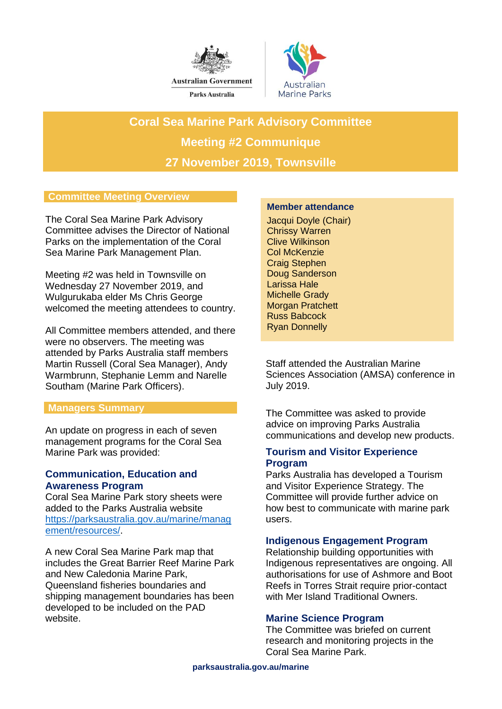



**Coral Sea Marine Park Advisory Committee Meeting #2 Communique 27 November 2019, Townsville**

# **Committee Meeting Overview**

The Coral Sea Marine Park Advisory Committee advises the Director of National Parks on the implementation of the Coral Sea Marine Park Management Plan.

Meeting #2 was held in Townsville on Wednesday 27 November 2019, and Wulgurukaba elder Ms Chris George welcomed the meeting attendees to country.

All Committee members attended, and there were no observers. The meeting was attended by Parks Australia staff members Martin Russell (Coral Sea Manager), Andy Warmbrunn, Stephanie Lemm and Narelle Southam (Marine Park Officers).

### **Managers Summary**

An update on progress in each of seven management programs for the Coral Sea Marine Park was provided:

### **Communication, Education and Awareness Program**

Coral Sea Marine Park story sheets were added to the Parks Australia website [https://parksaustralia.gov.au/marine/manag](https://parksaustralia.gov.au/marine/management/resources/) [ement/resources/.](https://parksaustralia.gov.au/marine/management/resources/)

A new Coral Sea Marine Park map that includes the Great Barrier Reef Marine Park and New Caledonia Marine Park, Queensland fisheries boundaries and shipping management boundaries has been developed to be included on the PAD website.

#### **Member attendance**

Jacqui Doyle (Chair) Chrissy Warren Clive Wilkinson Col McKenzie Craig Stephen Doug Sanderson Larissa Hale Michelle Grady Morgan Pratchett Russ Babcock Ryan Donnelly

Staff attended the Australian Marine Sciences Association (AMSA) conference in July 2019.

The Committee was asked to provide advice on improving Parks Australia communications and develop new products.

## **Tourism and Visitor Experience Program**

Parks Australia has developed a Tourism and Visitor Experience Strategy. The Committee will provide further advice on how best to communicate with marine park users.

# **Indigenous Engagement Program**

Relationship building opportunities with Indigenous representatives are ongoing. All authorisations for use of Ashmore and Boot Reefs in Torres Strait require prior-contact with Mer Island Traditional Owners.

### **Marine Science Program**

The Committee was briefed on current research and monitoring projects in the Coral Sea Marine Park.